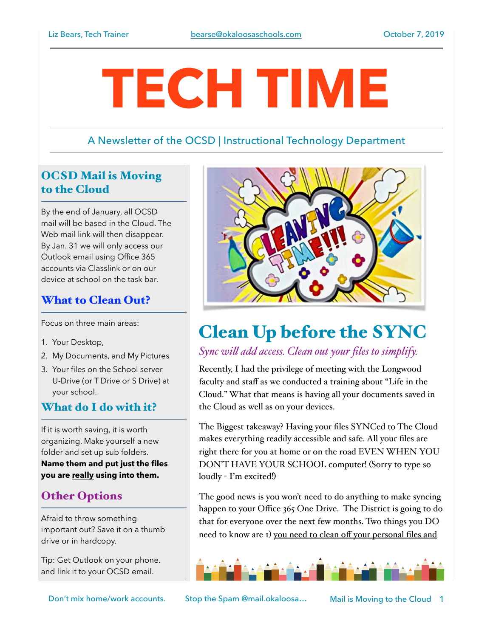# **TECH TIME**

# A Newsletter of the OCSD | Instructional Technology Department

# OCSD Mail is Moving to the Cloud

By the end of January, all OCSD mail will be based in the Cloud. The Web mail link will then disappear. By Jan. 31 we will only access our Outlook email using Office 365 accounts via Classlink or on our device at school on the task bar.

# What to Clean Out?

Focus on three main areas:

- 1. Your Desktop,
- 2. My Documents, and My Pictures
- 3. Your files on the School server U-Drive (or T Drive or S Drive) at your school.

### What do I do with it?

If it is worth saving, it is worth organizing. Make yourself a new folder and set up sub folders. **Name them and put just the files you are really using into them.** 

# Other Options

Afraid to throw something important out? Save it on a thumb drive or in hardcopy.

Tip: Get Outlook on your phone. and link it to your OCSD email.



# Clean Up before the SYNC

## *Sync wil add access. Clean out your files to simplify.*

Recently, I had the privilege of meeting with the Longwood faculty and staff as we conducted a training about "Life in the Cloud." What that means is having all your documents saved in the Cloud as well as on your devices.

The Biggest takeaway? Having your files SYNCed to The Cloud makes everything readily accessible and safe. All your files are right there for you at home or on the road EVEN WHEN YOU DON'T HAVE YOUR SCHOOL computer! (Sorry to type so loudly - I'm excited!)

The good news is you won't need to do anything to make syncing happen to your Office 365 One Drive. The District is going to do that for everyone over the next few months. Two things you DO need to know are 1) you need to clean off your personal files and



Don't mix home/work accounts. Stop the Spam @mail.okaloosa… Mail is Moving to the Cloud 1